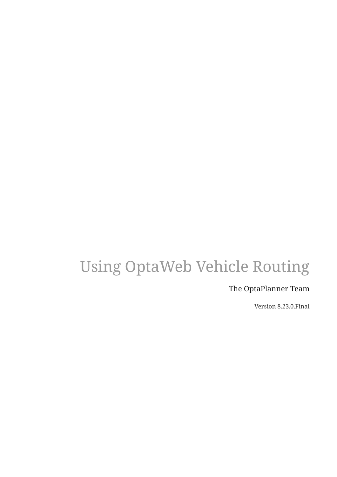# Using OptaWeb Vehicle Routing

### The OptaPlanner Team

Version 8.23.0.Final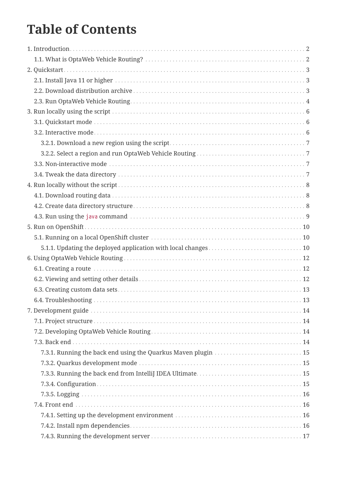# **Table of Contents**

| 7.3.1. Running the back end using the Quarkus Maven plugin  15 |  |
|----------------------------------------------------------------|--|
|                                                                |  |
|                                                                |  |
|                                                                |  |
|                                                                |  |
|                                                                |  |
|                                                                |  |
|                                                                |  |
|                                                                |  |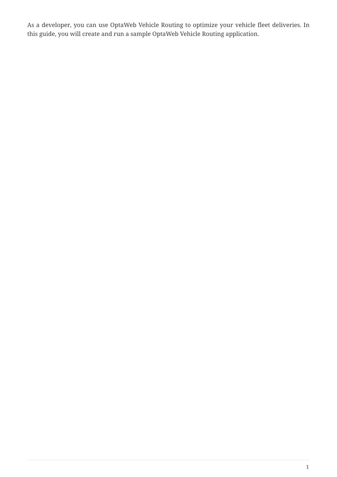As a developer, you can use OptaWeb Vehicle Routing to optimize your vehicle fleet deliveries. In this guide, you will create and run a sample OptaWeb Vehicle Routing application.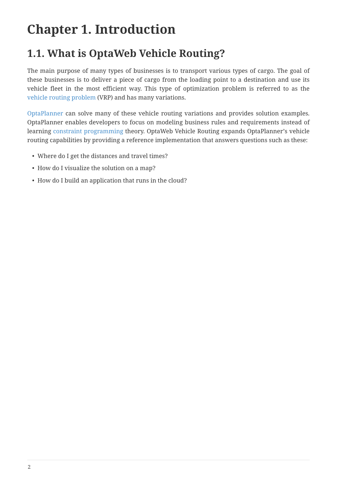# <span id="page-4-0"></span>**Chapter 1. Introduction**

## <span id="page-4-1"></span>**1.1. What is OptaWeb Vehicle Routing?**

The main purpose of many types of businesses is to transport various types of cargo. The goal of these businesses is to deliver a piece of cargo from the loading point to a destination and use its vehicle fleet in the most efficient way. This type of optimization problem is referred to as the [vehicle routing problem](https://www.optaplanner.org/learn/useCases/vehicleRoutingProblem.html) (VRP) and has many variations.

[OptaPlanner](https://www.optaplanner.org/) can solve many of these vehicle routing variations and provides solution examples. OptaPlanner enables developers to focus on modeling business rules and requirements instead of learning [constraint programming](https://en.wikipedia.org/wiki/Constraint_programming) theory. OptaWeb Vehicle Routing expands OptaPlanner's vehicle routing capabilities by providing a reference implementation that answers questions such as these:

- Where do I get the distances and travel times?
- How do I visualize the solution on a map?
- How do I build an application that runs in the cloud?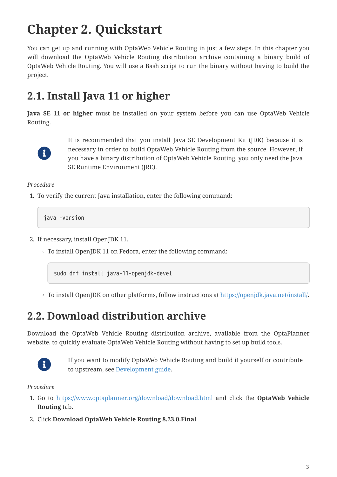# <span id="page-5-0"></span>**Chapter 2. Quickstart**

You can get up and running with OptaWeb Vehicle Routing in just a few steps. In this chapter you will download the OptaWeb Vehicle Routing distribution archive containing a binary build of OptaWeb Vehicle Routing. You will use a Bash script to run the binary without having to build the project.

## <span id="page-5-1"></span>**2.1. Install Java 11 or higher**

**Java SE 11 or higher** must be installed on your system before you can use OptaWeb Vehicle Routing.



It is recommended that you install Java SE Development Kit (JDK) because it is necessary in order to build OptaWeb Vehicle Routing from the source. However, if you have a binary distribution of OptaWeb Vehicle Routing, you only need the Java SE Runtime Environment (JRE).

*Procedure*

1. To verify the current Java installation, enter the following command:

java -version

- 2. If necessary, install OpenJDK 11.
	- To install OpenJDK 11 on Fedora, enter the following command:

sudo dnf install java-11-openjdk-devel

◦ To install OpenJDK on other platforms, follow instructions at [https://openjdk.java.net/install/.](https://openjdk.java.net/install/)

### <span id="page-5-2"></span>**2.2. Download distribution archive**

Download the OptaWeb Vehicle Routing distribution archive, available from the OptaPlanner website, to quickly evaluate OptaWeb Vehicle Routing without having to set up build tools.



If you want to modify OptaWeb Vehicle Routing and build it yourself or contribute to upstream, see [Development guide.](#page-16-0)

*Procedure*

- 1. Go to <https://www.optaplanner.org/download/download.html> and click the **OptaWeb Vehicle Routing** tab.
- 2. Click **Download OptaWeb Vehicle Routing 8.23.0.Final**.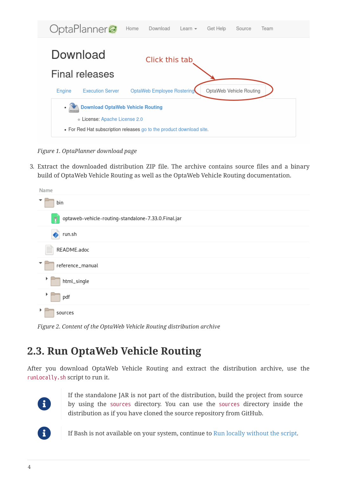

*Figure 1. OptaPlanner download page*

3. Extract the downloaded distribution ZIP file. The archive contains source files and a binary build of OptaWeb Vehicle Routing as well as the OptaWeb Vehicle Routing documentation.

| Name                                                     |
|----------------------------------------------------------|
| bin                                                      |
| optaweb-vehicle-routing-standalone-7.33.0.Final.jar<br>ŋ |
| run.sh                                                   |
| README.adoc<br>≣                                         |
| reference_manual                                         |
| html_single                                              |
| pdf                                                      |
| sources                                                  |

*Figure 2. Content of the OptaWeb Vehicle Routing distribution archive*

## <span id="page-6-0"></span>**2.3. Run OptaWeb Vehicle Routing**

After you download OptaWeb Vehicle Routing and extract the distribution archive, use the runLocally.sh script to run it.



If the standalone JAR is not part of the distribution, build the project from source by using the sources directory. You can use the sources directory inside the distribution as if you have cloned the source repository from GitHub.



If Bash is not available on your system, continue to [Run locally without the script.](#page-10-0)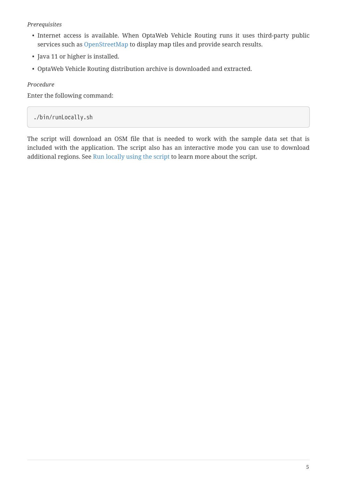#### *Prerequisites*

- Internet access is available. When OptaWeb Vehicle Routing runs it uses third-party public services such as [OpenStreetMap](https://www.openstreetmap.org/about) to display map tiles and provide search results.
- Java 11 or higher is installed.
- OptaWeb Vehicle Routing distribution archive is downloaded and extracted.

*Procedure*

Enter the following command:

./bin/runLocally.sh

The script will download an OSM file that is needed to work with the sample data set that is included with the application. The script also has an interactive mode you can use to download additional regions. See [Run locally using the script](#page-8-0) to learn more about the script.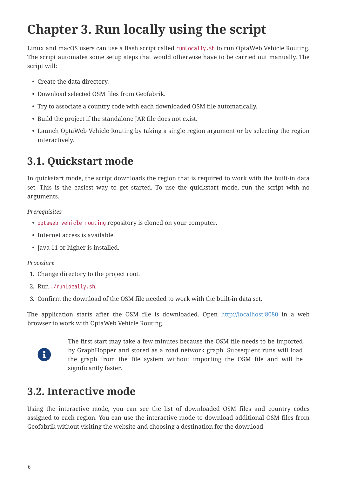# <span id="page-8-0"></span>**Chapter 3. Run locally using the script**

Linux and macOS users can use a Bash script called runLocally.sh to run OptaWeb Vehicle Routing. The script automates some setup steps that would otherwise have to be carried out manually. The script will:

- Create the data directory.
- Download selected OSM files from Geofabrik.
- Try to associate a country code with each downloaded OSM file automatically.
- Build the project if the standalone JAR file does not exist.
- Launch OptaWeb Vehicle Routing by taking a single region argument or by selecting the region interactively.

## <span id="page-8-1"></span>**3.1. Quickstart mode**

In quickstart mode, the script downloads the region that is required to work with the built-in data set. This is the easiest way to get started. To use the quickstart mode, run the script with no arguments.

#### *Prerequisites*

- optaweb-vehicle-routing repository is cloned on your computer.
- Internet access is available.
- Java 11 or higher is installed.

#### *Procedure*

- 1. Change directory to the project root.
- 2. Run ./runLocally.sh.
- 3. Confirm the download of the OSM file needed to work with the built-in data set.

The application starts after the OSM file is downloaded. Open <http://localhost:8080>in a web browser to work with OptaWeb Vehicle Routing.



The first start may take a few minutes because the OSM file needs to be imported by GraphHopper and stored as a road network graph. Subsequent runs will load the graph from the file system without importing the OSM file and will be significantly faster.

### <span id="page-8-2"></span>**3.2. Interactive mode**

Using the interactive mode, you can see the list of downloaded OSM files and country codes assigned to each region. You can use the interactive mode to download additional OSM files from Geofabrik without visiting the website and choosing a destination for the download.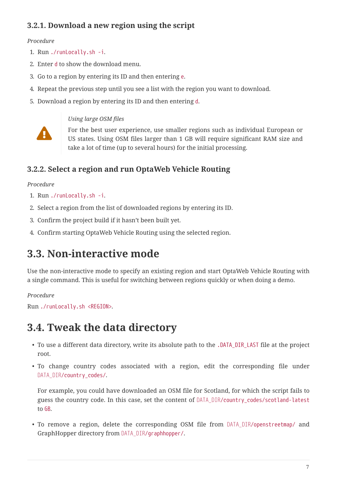### <span id="page-9-0"></span>**3.2.1. Download a new region using the script**

#### *Procedure*

- 1. Run ./runLocally.sh -i.
- 2. Enter d to show the download menu.
- 3. Go to a region by entering its ID and then entering e.
- 4. Repeat the previous step until you see a list with the region you want to download.
- 5. Download a region by entering its ID and then entering d.



#### *Using large OSM files*

For the best user experience, use smaller regions such as individual European or US states. Using OSM files larger than 1 GB will require significant RAM size and take a lot of time (up to several hours) for the initial processing.

### <span id="page-9-1"></span>**3.2.2. Select a region and run OptaWeb Vehicle Routing**

#### *Procedure*

- 1. Run ./runLocally.sh -i.
- 2. Select a region from the list of downloaded regions by entering its ID.
- 3. Confirm the project build if it hasn't been built yet.
- 4. Confirm starting OptaWeb Vehicle Routing using the selected region.

### <span id="page-9-2"></span>**3.3. Non-interactive mode**

Use the non-interactive mode to specify an existing region and start OptaWeb Vehicle Routing with a single command. This is useful for switching between regions quickly or when doing a demo.

#### *Procedure*

```
Run ./runLocally.sh <REGION>.
```
### <span id="page-9-3"></span>**3.4. Tweak the data directory**

- To use a different data directory, write its absolute path to the .DATA\_DIR\_LAST file at the project root.
- To change country codes associated with a region, edit the corresponding file under DATA\_DIR/country\_codes/.

For example, you could have downloaded an OSM file for Scotland, for which the script fails to guess the country code. In this case, set the content of *DATA\_DIR*/country\_codes/scotland-latest to GB.

• To remove a region, delete the corresponding OSM file from *DATA\_DIR*/openstreetmap/ and GraphHopper directory from *DATA\_DIR*/graphhopper/.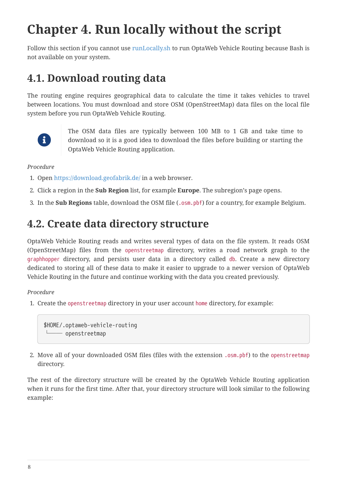# <span id="page-10-0"></span>**Chapter 4. Run locally without the script**

Follow this section if you cannot use [runLocally.sh](#page-8-0) to run OptaWeb Vehicle Routing because Bash is not available on your system.

### <span id="page-10-1"></span>**4.1. Download routing data**

The routing engine requires geographical data to calculate the time it takes vehicles to travel between locations. You must download and store OSM (OpenStreetMap) data files on the local file system before you run OptaWeb Vehicle Routing.



The OSM data files are typically between 100 MB to 1 GB and take time to download so it is a good idea to download the files before building or starting the OptaWeb Vehicle Routing application.

#### *Procedure*

- 1. Open <https://download.geofabrik.de/> in a web browser.
- 2. Click a region in the **Sub Region** list, for example **Europe**. The subregion's page opens.
- 3. In the **Sub Regions** table, download the OSM file (.osm.pbf) for a country, for example Belgium.

### <span id="page-10-2"></span>**4.2. Create data directory structure**

OptaWeb Vehicle Routing reads and writes several types of data on the file system. It reads OSM (OpenStreetMap) files from the openstreetmap directory, writes a road network graph to the graphhopper directory, and persists user data in a directory called db. Create a new directory dedicated to storing all of these data to make it easier to upgrade to a newer version of OptaWeb Vehicle Routing in the future and continue working with the data you created previously.

#### *Procedure*

1. Create the openstreetmap directory in your user account home directory, for example:

\$HOME/.optaweb-vehicle-routing └── openstreetmap

2. Move all of your downloaded OSM files (files with the extension .osm.pbf) to the openstreetmap directory.

The rest of the directory structure will be created by the OptaWeb Vehicle Routing application when it runs for the first time. After that, your directory structure will look similar to the following example: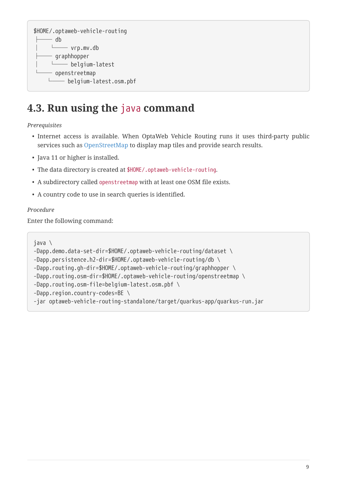```
$HOME/.optaweb-vehicle-routing
     - db
     │ └── vrp.mv.db
     ├── graphhopper
     │ └── belgium-latest
     - openstreetmap
      └── belgium-latest.osm.pbf
```
### <span id="page-11-0"></span>**4.3. Run using the** java **command**

*Prerequisites*

- Internet access is available. When OptaWeb Vehicle Routing runs it uses third-party public services such as [OpenStreetMap](https://www.openstreetmap.org/about) to display map tiles and provide search results.
- Java 11 or higher is installed.
- The data directory is created at \$HOME/.optaweb-vehicle-routing.
- A subdirectory called openstreetmap with at least one OSM file exists.
- A country code to use in search queries is identified.

#### *Procedure*

Enter the following command:

java \

```
-Dapp.demo.data-set-dir=$HOME/.optaweb-vehicle-routing/dataset \
```

```
-Dapp.persistence.h2-dir=$HOME/.optaweb-vehicle-routing/db \
```

```
-Dapp.routing.gh-dir=$HOME/.optaweb-vehicle-routing/graphhopper \
```

```
-Dapp.routing.osm-dir=$HOME/.optaweb-vehicle-routing/openstreetmap \
```

```
-Dapp.routing.osm-file=belgium-latest.osm.pbf \
```

```
-Dapp.region.country-codes=BE \
```

```
-jar optaweb-vehicle-routing-standalone/target/quarkus-app/quarkus-run.jar
```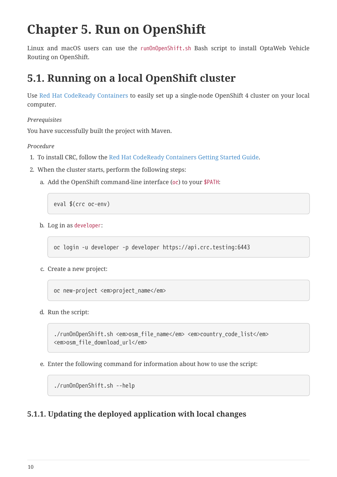# <span id="page-12-0"></span>**Chapter 5. Run on OpenShift**

Linux and macOS users can use the runOnOpenShift.sh Bash script to install OptaWeb Vehicle Routing on OpenShift.

## <span id="page-12-1"></span>**5.1. Running on a local OpenShift cluster**

Use [Red Hat CodeReady Containers](https://developers.redhat.com/products/codeready-containers) to easily set up a single-node OpenShift 4 cluster on your local computer.

*Prerequisites*

You have successfully built the project with Maven.

*Procedure*

- 1. To install CRC, follow the [Red Hat CodeReady Containers Getting Started Guide](https://code-ready.github.io/crc/).
- 2. When the cluster starts, perform the following steps:
	- a. Add the OpenShift command-line interface (oc) to your \$PATH:

eval \$(crc oc-env)

b. Log in as developer:

oc login -u developer -p developer https://api.crc.testing:6443

c. Create a new project:

oc new-project <em>project\_name</em>

d. Run the script:

./runOnOpenShift.sh <em>osm\_file\_name</em> <em>country\_code\_list</em> <em>osm\_file\_download\_url</em>

e. Enter the following command for information about how to use the script:

./runOnOpenShift.sh --help

### <span id="page-12-2"></span>**5.1.1. Updating the deployed application with local changes**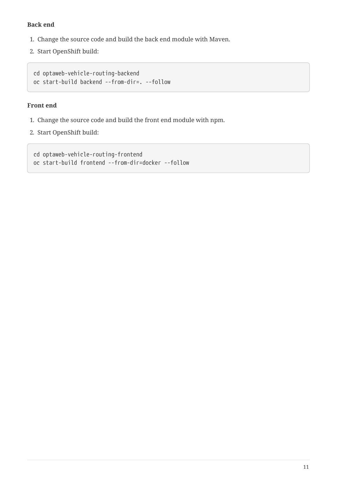#### **Back end**

- 1. Change the source code and build the back end module with Maven.
- 2. Start OpenShift build:

```
cd optaweb-vehicle-routing-backend
oc start-build backend --from-dir=. --follow
```
#### **Front end**

- 1. Change the source code and build the front end module with npm.
- 2. Start OpenShift build:

cd optaweb-vehicle-routing-frontend oc start-build frontend --from-dir=docker --follow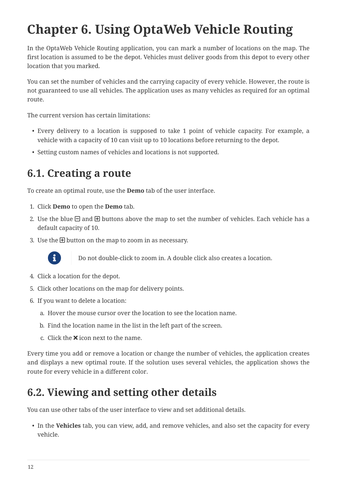# <span id="page-14-0"></span>**Chapter 6. Using OptaWeb Vehicle Routing**

In the OptaWeb Vehicle Routing application, you can mark a number of locations on the map. The first location is assumed to be the depot. Vehicles must deliver goods from this depot to every other location that you marked.

You can set the number of vehicles and the carrying capacity of every vehicle. However, the route is not guaranteed to use all vehicles. The application uses as many vehicles as required for an optimal route.

The current version has certain limitations:

- Every delivery to a location is supposed to take 1 point of vehicle capacity. For example, a vehicle with a capacity of 10 can visit up to 10 locations before returning to the depot.
- Setting custom names of vehicles and locations is not supported.

### <span id="page-14-1"></span>**6.1. Creating a route**

To create an optimal route, use the **Demo** tab of the user interface.

- 1. Click **Demo** to open the **Demo** tab.
- 2. Use the blue  $\Box$  and  $\boxplus$  buttons above the map to set the number of vehicles. Each vehicle has a default capacity of 10.
- 3. Use the  $\boxplus$  button on the map to zoom in as necessary.



Do not double-click to zoom in. A double click also creates a location.

- 4. Click a location for the depot.
- 5. Click other locations on the map for delivery points.
- 6. If you want to delete a location:
	- a. Hover the mouse cursor over the location to see the location name.
	- b. Find the location name in the list in the left part of the screen.
	- c. Click the  $\times$  icon next to the name.

Every time you add or remove a location or change the number of vehicles, the application creates and displays a new optimal route. If the solution uses several vehicles, the application shows the route for every vehicle in a different color.

### <span id="page-14-2"></span>**6.2. Viewing and setting other details**

You can use other tabs of the user interface to view and set additional details.

• In the **Vehicles** tab, you can view, add, and remove vehicles, and also set the capacity for every vehicle.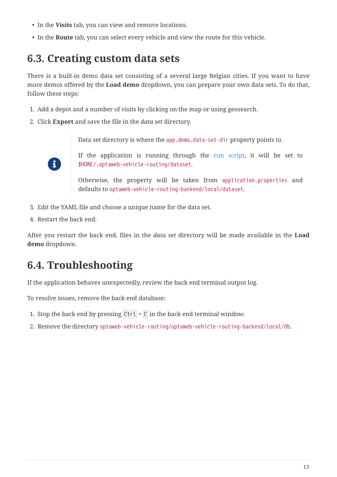- In the **Visits** tab, you can view and remove locations.
- In the **Route** tab, you can select every vehicle and view the route for this vehicle.

### <span id="page-15-0"></span>**6.3. Creating custom data sets**

There is a built-in demo data set consisting of a several large Belgian cities. If you want to have more demos offered by the **Load demo** dropdown, you can prepare your own data sets. To do that, follow these steps:

- 1. Add a depot and a number of visits by clicking on the map or using geosearch.
- 2. Click **Export** and save the file in the *data set* directory.

Data set directory is where the app.demo.data-set-dir property points to.



If the application is running through the [run script](#page-8-0), it will be set to \$HOME/.optaweb-vehicle-routing/dataset.

Otherwise, the property will be taken from application.properties and defaults to optaweb-vehicle-routing-backend/local/dataset.

- 3. Edit the YAML file and choose a unique name for the data set.
- 4. Restart the back end.

After you restart the back end, files in the *data set* directory will be made available in the **Load demo** dropdown.

## <span id="page-15-1"></span>**6.4. Troubleshooting**

If the application behaves unexpectedly, review the back end terminal output log.

To resolve issues, remove the back end database:

- 1. Stop the back end by pressing  $[Ctrl] + [C]$  in the back end terminal window.
- 2. Remove the directory optaweb-vehicle-routing/optaweb-vehicle-routing-backend/local/db.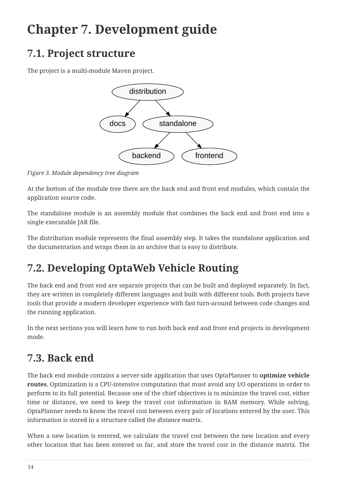# <span id="page-16-0"></span>**Chapter 7. Development guide**

## <span id="page-16-1"></span>**7.1. Project structure**

The project is a multi-module Maven project.



*Figure 3. Module dependency tree diagram*

At the bottom of the module tree there are the back end and front end modules, which contain the application source code.

The standalone module is an assembly module that combines the back end and front end into a single executable JAR file.

The distribution module represents the final assembly step. It takes the standalone application and the documentation and wraps them in an archive that is easy to distribute.

# <span id="page-16-2"></span>**7.2. Developing OptaWeb Vehicle Routing**

The back end and front end are separate projects that can be built and deployed separately. In fact, they are written in completely different languages and built with different tools. Both projects have tools that provide a modern developer experience with fast turn-around between code changes and the running application.

In the next sections you will learn how to run both back end and front end projects in development mode.

# <span id="page-16-3"></span>**7.3. Back end**

The back end module contains a server-side application that uses OptaPlanner to **optimize vehicle routes**. Optimization is a CPU-intensive computation that must avoid any I/O operations in order to perform to its full potential. Because one of the chief objectives is to minimize the travel cost, either time or distance, we need to keep the travel cost information in RAM memory. While solving, OptaPlanner needs to know the travel cost between every pair of locations entered by the user. This information is stored in a structure called the *distance matrix*.

When a new location is entered, we calculate the travel cost between the new location and every other location that has been entered so far, and store the travel cost in the distance matrix. The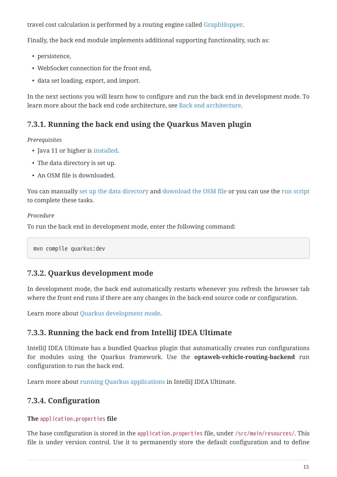travel cost calculation is performed by a routing engine called [GraphHopper](https://github.com/graphhopper/graphhopper).

Finally, the back end module implements additional supporting functionality, such as:

- persistence,
- WebSocket connection for the front end,
- data set loading, export, and import.

In the next sections you will learn how to configure and run the back end in development mode. To learn more about the back end code architecture, see [Back end architecture.](#page-23-0)

### <span id="page-17-0"></span>**7.3.1. Running the back end using the Quarkus Maven plugin**

#### *Prerequisites*

- Java 11 or higher is [installed](#page-5-1).
- The data directory is set up.
- An OSM file is downloaded.

You can manually [set up the data directory](#page-10-2) and [download the OSM file](#page-10-1) or you can use the [run script](#page-8-0) to complete these tasks.

#### *Procedure*

To run the back end in development mode, enter the following command:

mvn compile quarkus:dev

#### <span id="page-17-1"></span>**7.3.2. Quarkus development mode**

In development mode, the back end automatically restarts whenever you refresh the browser tab where the front end runs if there are any changes in the back-end source code or configuration.

Learn more about [Quarkus development mode](https://quarkus.io/guides/maven-tooling#development-mode).

### <span id="page-17-2"></span>**7.3.3. Running the back end from IntelliJ IDEA Ultimate**

IntelliJ IDEA Ultimate has a bundled Quarkus plugin that automatically creates run configurations for modules using the Quarkus framework. Use the **optaweb-vehicle-routing-backend** run configuration to run the back end.

Learn more about [running Quarkus applications](https://www.jetbrains.com/help/idea/quarkus.html#run-app) in IntelliJ IDEA Ultimate.

### <span id="page-17-3"></span>**7.3.4. Configuration**

#### **The** application.properties **file**

The base configuration is stored in the application.properties file, under /src/main/resources/. This file is under version control. Use it to permanently store the default configuration and to define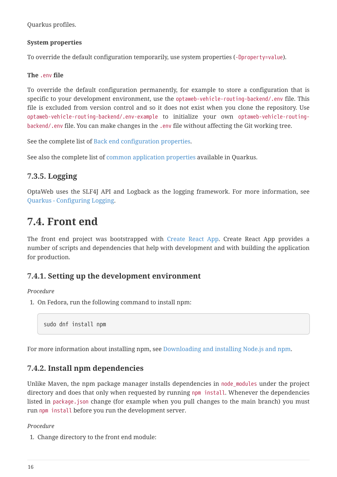Quarkus profiles.

#### **System properties**

To override the default configuration temporarily, use system properties (-Dproperty=value).

#### **The** .env **file**

To override the default configuration permanently, for example to store a configuration that is specific to your development environment, use the optaweb-vehicle-routing-backend/.env file. This file is excluded from version control and so it does not exist when you clone the repository. Use optaweb-vehicle-routing-backend/.env-example to initialize your own optaweb-vehicle-routingbackend/.env file. You can make changes in the .env file without affecting the Git working tree.

See the complete list of [Back end configuration properties](#page-26-0).

See also the complete list of [common application properties](https://quarkus.io/guides/all-config) available in Quarkus.

### <span id="page-18-0"></span>**7.3.5. Logging**

OptaWeb uses the SLF4J API and Logback as the logging framework. For more information, see [Quarkus - Configuring Logging.](https://quarkus.io/guides/logging)

### <span id="page-18-1"></span>**7.4. Front end**

The front end project was bootstrapped with [Create React App](https://create-react-app.dev/). Create React App provides a number of scripts and dependencies that help with development and with building the application for production.

### <span id="page-18-2"></span>**7.4.1. Setting up the development environment**

#### *Procedure*

1. On Fedora, run the following command to install npm:

sudo dnf install npm

For more information about installing npm, see [Downloading and installing Node.js and npm.](https://docs.npmjs.com/downloading-and-installing-node-js-and-npm)

### <span id="page-18-3"></span>**7.4.2. Install npm dependencies**

Unlike Maven, the npm package manager installs dependencies in node\_modules under the project directory and does that only when requested by running npm install. Whenever the dependencies listed in package.json change (for example when you pull changes to the main branch) you must run npm install before you run the development server.

#### *Procedure*

1. Change directory to the front end module: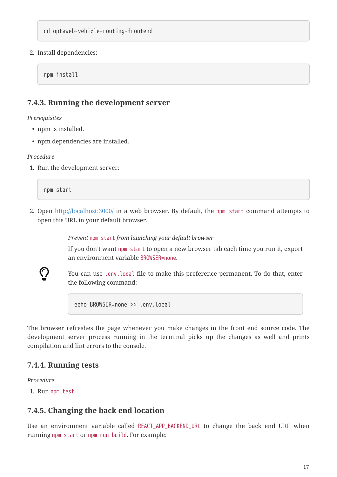2. Install dependencies:

npm install

#### <span id="page-19-0"></span>**7.4.3. Running the development server**

*Prerequisites*

- npm is installed.
- npm dependencies are installed.

#### *Procedure*

1. Run the development server:

npm start

2. Open <http://localhost:3000/>in a web browser. By default, the npm start command attempts to open this URL in your default browser.

*Prevent* npm start *from launching your default browser*

If you don't want npm start to open a new browser tab each time you run it, export an environment variable BROWSER=none.

You can use .env.local file to make this preference permanent. To do that, enter the following command:

echo BROWSER=none >> .env.local

The browser refreshes the page whenever you make changes in the front end source code. The development server process running in the terminal picks up the changes as well and prints compilation and lint errors to the console.

#### <span id="page-19-1"></span>**7.4.4. Running tests**

*Procedure*

 $\bigcirc$ 

1. Run npm test.

#### <span id="page-19-2"></span>**7.4.5. Changing the back end location**

Use an environment variable called REACT\_APP\_BACKEND\_URL to change the back end URL when running npm start or npm run build. For example: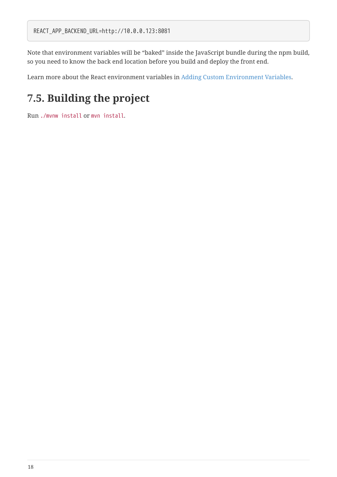Note that environment variables will be "baked" inside the JavaScript bundle during the npm build, so you need to know the back end location before you build and deploy the front end.

Learn more about the React environment variables in [Adding Custom Environment Variables.](https://create-react-app.dev/docs/adding-custom-environment-variables/)

## <span id="page-20-0"></span>**7.5. Building the project**

Run ./mvnw install or mvn install.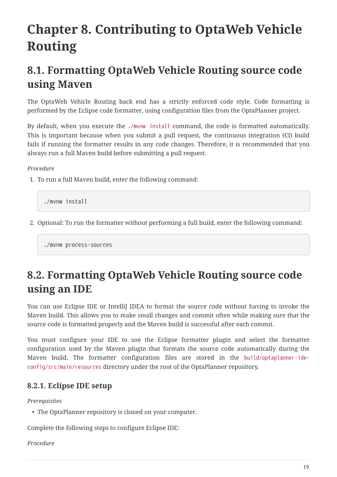# <span id="page-21-0"></span>**Chapter 8. Contributing to OptaWeb Vehicle Routing**

## <span id="page-21-1"></span>**8.1. Formatting OptaWeb Vehicle Routing source code using Maven**

The OptaWeb Vehicle Routing back end has a strictly enforced code style. Code formatting is performed by the Eclipse code formatter, using configuration files from the OptaPlanner project.

By default, when you execute the ./mvnw install command, the code is formatted automatically. This is important because when you submit a pull request, the continuous integration (CI) build fails if running the formatter results in any code changes. Therefore, it is recommended that you always run a full Maven build before submitting a pull request.

#### *Procedure*

1. To run a full Maven build, enter the following command:

./mvnw install

2. Optional: To run the formatter without performing a full build, enter the following command:

./mvnw process-sources

## <span id="page-21-2"></span>**8.2. Formatting OptaWeb Vehicle Routing source code using an IDE**

You can use Eclipse IDE or IntelliJ IDEA to format the source code without having to invoke the Maven build. This allows you to make small changes and commit often while making sure that the source code is formatted properly and the Maven build is successful after each commit.

You must configure your IDE to use the Eclipse formatter plugin and select the formatter configuration used by the Maven plugin that formats the source code automatically during the Maven build. The formatter configuration files are stored in the build/optaplanner-ideconfig/src/main/resources directory under the root of the OptaPlanner repository.

### <span id="page-21-3"></span>**8.2.1. Eclipse IDE setup**

*Prerequisites*

• The OptaPlanner repository is cloned on your computer.

Complete the following steps to configure Eclipse IDE:

*Procedure*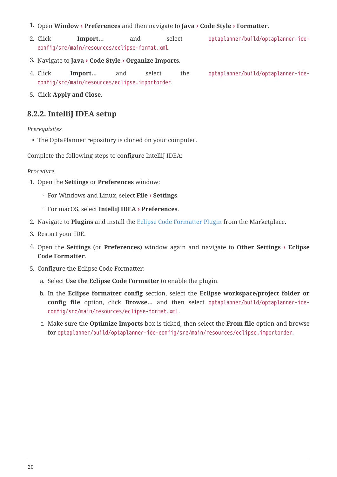- 1. Open **Window › Preferences** and then navigate to **Java › Code Style › Formatter**.
- 2. Click **Import…** and select optaplanner/build/optaplanner-ideconfig/src/main/resources/eclipse-format.xml.
- 3. Navigate to **Java › Code Style › Organize Imports**.
- 4. Click **Import…** and select the optaplanner/build/optaplanner-ideconfig/src/main/resources/eclipse.importorder.
- 5. Click **Apply and Close**.

#### <span id="page-22-0"></span>**8.2.2. IntelliJ IDEA setup**

*Prerequisites*

• The OptaPlanner repository is cloned on your computer.

Complete the following steps to configure IntelliJ IDEA:

#### *Procedure*

- 1. Open the **Settings** or **Preferences** window:
	- For Windows and Linux, select **File › Settings**.
	- For macOS, select **IntelliJ IDEA › Preferences**.
- 2. Navigate to **Plugins** and install the [Eclipse Code Formatter Plugin](https://plugins.jetbrains.com/plugin/6546-eclipse-code-formatter) from the Marketplace.
- 3. Restart your IDE.
- 4. Open the **Settings** (or **Preferences**) window again and navigate to **Other Settings › Eclipse Code Formatter**.
- 5. Configure the Eclipse Code Formatter:
	- a. Select **Use the Eclipse Code Formatter** to enable the plugin.
	- b. In the **Eclipse formatter config** section, select the **Eclipse workspace/project folder or config file** option, click **Browse…** and then select optaplanner/build/optaplanner-ideconfig/src/main/resources/eclipse-format.xml.
	- c. Make sure the **Optimize Imports** box is ticked, then select the **From file** option and browse for optaplanner/build/optaplanner-ide-config/src/main/resources/eclipse.importorder.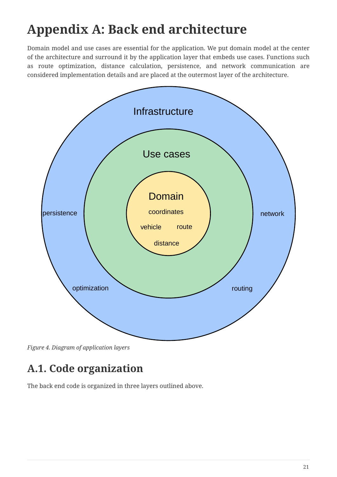# <span id="page-23-0"></span>**Appendix A: Back end architecture**

Domain model and use cases are essential for the application. We put domain model at the center of the architecture and surround it by the application layer that embeds use cases. Functions such as route optimization, distance calculation, persistence, and network communication are considered implementation details and are placed at the outermost layer of the architecture.



*Figure 4. Diagram of application layers*

# <span id="page-23-1"></span>**A.1. Code organization**

The back end code is organized in three layers outlined above.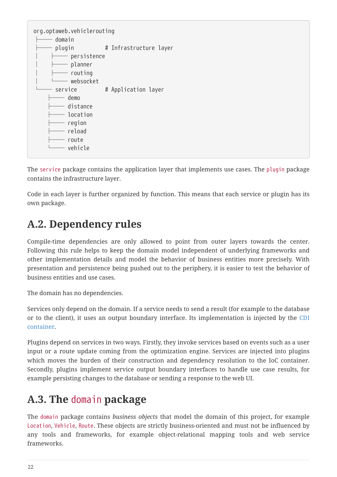| org.optaweb.vehiclerouting          |                        |
|-------------------------------------|------------------------|
| domain                              |                        |
| plugin                              | # Infrastructure layer |
| $-$ persistence                     |                        |
| planner<br>$\overline{\phantom{0}}$ |                        |
| routing                             |                        |
| - websocket                         |                        |
| service                             | # Application layer    |
| demo                                |                        |
| — distance                          |                        |
| - location                          |                        |
| region                              |                        |
| reload                              |                        |
| route                               |                        |
| vehicle                             |                        |
|                                     |                        |

The service package contains the application layer that implements use cases. The plugin package contains the infrastructure layer.

Code in each layer is further organized by function. This means that each service or plugin has its own package.

### <span id="page-24-0"></span>**A.2. Dependency rules**

Compile-time dependencies are only allowed to point from outer layers towards the center. Following this rule helps to keep the domain model independent of underlying frameworks and other implementation details and model the behavior of business entities more precisely. With presentation and persistence being pushed out to the periphery, it is easier to test the behavior of business entities and use cases.

The domain has no dependencies.

Services only depend on the domain. If a service needs to send a result (for example to the database or to the client), it uses an output boundary interface. Its implementation is injected by the [CDI](https://quarkus.io/guides/cdi) [container.](https://quarkus.io/guides/cdi)

Plugins depend on services in two ways. Firstly, they invoke services based on events such as a user input or a route update coming from the optimization engine. Services are injected into plugins which moves the burden of their construction and dependency resolution to the IoC container. Secondly, plugins implement service output boundary interfaces to handle use case results, for example persisting changes to the database or sending a response to the web UI.

### <span id="page-24-1"></span>**A.3. The** domain **package**

The domain package contains *business objects* that model the domain of this project, for example Location, Vehicle, Route. These objects are strictly business-oriented and must not be influenced by any tools and frameworks, for example object-relational mapping tools and web service frameworks.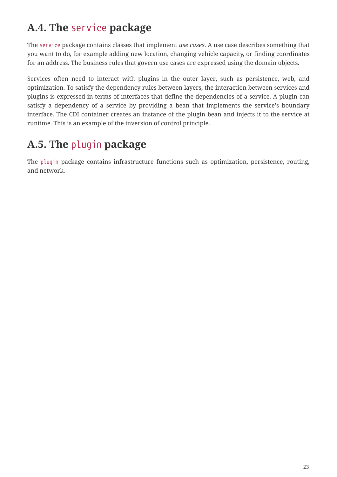# <span id="page-25-0"></span>**A.4. The** service **package**

The service package contains classes that implement *use cases*. A use case describes something that you want to do, for example adding new location, changing vehicle capacity, or finding coordinates for an address. The business rules that govern use cases are expressed using the domain objects.

Services often need to interact with plugins in the outer layer, such as persistence, web, and optimization. To satisfy the dependency rules between layers, the interaction between services and plugins is expressed in terms of interfaces that define the dependencies of a service. A plugin can satisfy a dependency of a service by providing a bean that implements the service's boundary interface. The CDI container creates an instance of the plugin bean and injects it to the service at runtime. This is an example of the inversion of control principle.

## <span id="page-25-1"></span>**A.5. The** plugin **package**

The plugin package contains infrastructure functions such as optimization, persistence, routing, and network.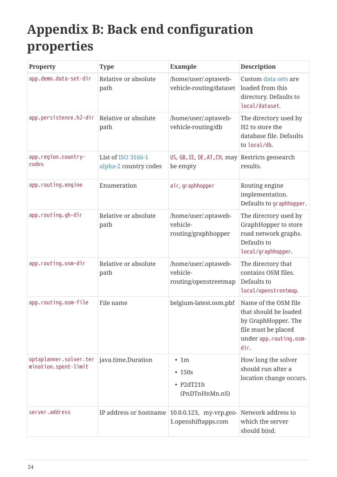# <span id="page-26-0"></span>**Appendix B: Back end configuration properties**

| Property                                       | <b>Type</b>                                 | <b>Example</b>                                                  | <b>Description</b>                                                                                                            |
|------------------------------------------------|---------------------------------------------|-----------------------------------------------------------------|-------------------------------------------------------------------------------------------------------------------------------|
| app.demo.data-set-dir                          | Relative or absolute<br>path                | /home/user/.optaweb-<br>vehicle-routing/dataset                 | Custom data sets are<br>loaded from this<br>directory. Defaults to<br>local/dataset.                                          |
| app.persistence.h2-dir                         | Relative or absolute<br>path                | /home/user/.optaweb-<br>vehicle-routing/db                      | The directory used by<br>H <sub>2</sub> to store the<br>database file. Defaults<br>to local/db.                               |
| app.region.country-<br>codes                   | List of ISO 3166-1<br>alpha-2 country codes | US, GB, IE, DE, AT, CH, may Restricts geosearch<br>be empty     | results.                                                                                                                      |
| app.routing.engine                             | Enumeration                                 | air, graphhopper                                                | Routing engine<br>implementation.<br>Defaults to graphhopper.                                                                 |
| app.routing.gh-dir                             | Relative or absolute<br>path                | /home/user/.optaweb-<br>vehicle-<br>routing/graphhopper         | The directory used by<br>GraphHopper to store<br>road network graphs.<br>Defaults to<br>local/graphhopper.                    |
| app.routing.osm-dir                            | Relative or absolute<br>path                | /home/user/.optaweb-<br>vehicle-<br>routing/openstreetmap       | The directory that<br>contains OSM files.<br>Defaults to<br>local/openstreetmap.                                              |
| app.routing.osm-file                           | File name                                   | belgium-latest.osm.pbf                                          | Name of the OSM file<br>that should be loaded<br>by GraphHopper. The<br>file must be placed<br>under app.routing.osm-<br>dir. |
| optaplanner.solver.ter<br>mination.spent-limit | java.time.Duration                          | $\cdot$ 1m<br>$\cdot$ 150s<br>$\cdot$ P2dT21h<br>(PnDTnHnMn.nS) | How long the solver<br>should run after a<br>location change occurs.                                                          |
| server.address                                 | IP address or hostname                      | 10.0.0.123, my-vrp.geo-<br>1.openshiftapps.com                  | Network address to<br>which the server<br>should bind.                                                                        |